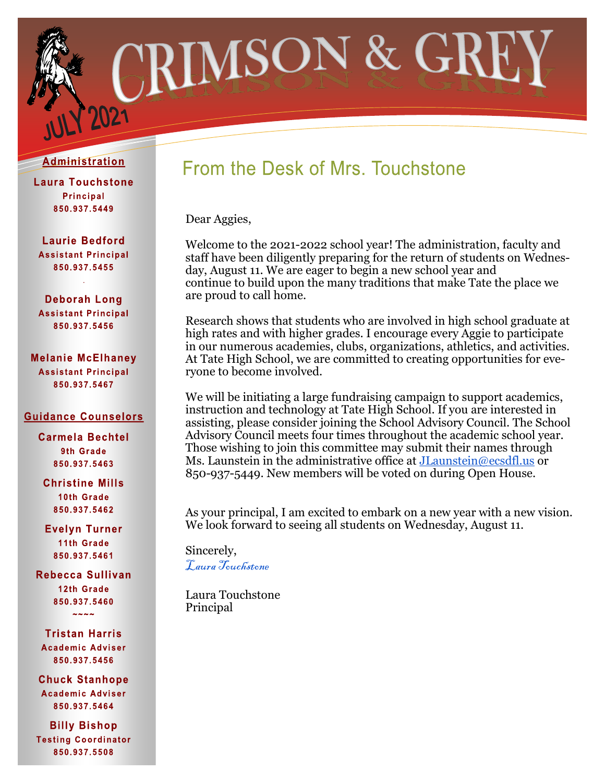

#### Administration

**Laura Touchstone Principal** 850.937.5449

**Laurie Bedford Assistant Principal** 850.937.5455 .

**Deborah Long Assistant Principal** 850.937.5456

**Melanie McElhaney Assistant Principal** 850.937.5467

#### **Guidance Counselors**

**Carmela Bechtel** 9th Grade 850.937.5463

**Christine Mills** 10th Grade 850.937.5462

**Evelyn Turner** 11th Grade 850.937.5461

Rebecca Sullivan 12th Grade 850.937.5460  $2222$ 

**Tristan Harris Academic Adviser** 850.937.5456

**Chuck Stanhope Academic Adviser** 850.937.5464

**Billy Bishop Testing Coordinator** 850.937.5508

# From the Desk of Mrs. Touchstone

Dear Aggies,

Welcome to the 2021-2022 school year! The administration, faculty and staff have been diligently preparing for the return of students on Wednesday, August 11. We are eager to begin a new school year and continue to build upon the many traditions that make Tate the place we are proud to call home.

Research shows that students who are involved in high school graduate at high rates and with higher grades. I encourage every Aggie to participate in our numerous academies, clubs, organizations, athletics, and activities. At Tate High School, we are committed to creating opportunities for everyone to become involved.

We will be initiating a large fundraising campaign to support academics, instruction and technology at Tate High School. If you are interested in assisting, please consider joining the School Advisory Council. The School Advisory Council meets four times throughout the academic school year. Those wishing to join this committee may submit their names through Ms. Launstein in the administrative office at [JLaunstein@ecsdfl.us](mailto:JLaunstein@ecsdfl.us) or 850-937-5449. New members will be voted on during Open House.

As your principal, I am excited to embark on a new year with a new vision. We look forward to seeing all students on Wednesday, August 11.

Sincerely, [Laura Touchstone](mailto:ltouchstone@ecsdfl.us) 

Laura Touchstone Principal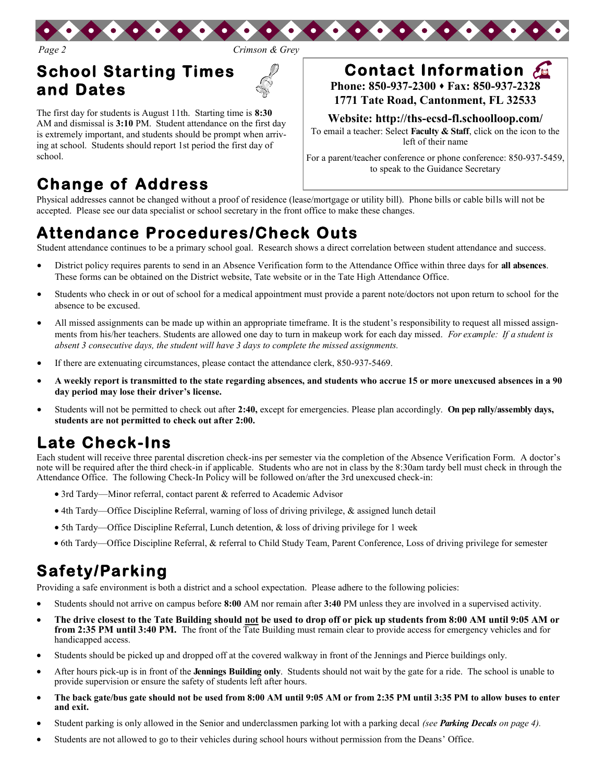

*Page 2 Crimson & Grey*

## **School Starting Times and Dates**

The first day for students is August 11th. Starting time is **8:30** AM and dismissal is **3:10** PM. Student attendance on the first day is extremely important, and students should be prompt when arriving at school. Students should report 1st period the first day of school.

## **Change of Address**

# **Contact Information**

**Phone: 850-937-2300 Fax: 850-937-2328 1771 Tate Road, Cantonment, FL 32533**

**Website: http://ths-ecsd-fl.schoolloop.com/**

To email a teacher: Select **Faculty & Staff**, click on the icon to the left of their name

For a parent/teacher conference or phone conference: 850-937-5459, to speak to the Guidance Secretary

Physical addresses cannot be changed without a proof of residence (lease/mortgage or utility bill). Phone bills or cable bills will not be accepted. Please see our data specialist or school secretary in the front office to make these changes.

## **Attendance Procedures/Check Outs**

Student attendance continues to be a primary school goal. Research shows a direct correlation between student attendance and success.

- District policy requires parents to send in an Absence Verification form to the Attendance Office within three days for **all absences**. These forms can be obtained on the District website, Tate website or in the Tate High Attendance Office.
- Students who check in or out of school for a medical appointment must provide a parent note/doctors not upon return to school for the absence to be excused.
- All missed assignments can be made up within an appropriate timeframe. It is the student's responsibility to request all missed assignments from his/her teachers. Students are allowed one day to turn in makeup work for each day missed. *For example: If a student is absent 3 consecutive days, the student will have 3 days to complete the missed assignments.*
- If there are extenuating circumstances, please contact the attendance clerk, 850-937-5469.
- **A weekly report is transmitted to the state regarding absences, and students who accrue 15 or more unexcused absences in a 90 day period may lose their driver's license.**
- Students will not be permitted to check out after **2:40,** except for emergencies. Please plan accordingly. **On pep rally/assembly days, students are not permitted to check out after 2:00.**

## **Late Check-Ins**

Each student will receive three parental discretion check-ins per semester via the completion of the Absence Verification Form. A doctor's note will be required after the third check-in if applicable. Students who are not in class by the 8:30am tardy bell must check in through the Attendance Office. The following Check-In Policy will be followed on/after the 3rd unexcused check-in:

- 3rd Tardy—Minor referral, contact parent & referred to Academic Advisor
- 4th Tardy—Office Discipline Referral, warning of loss of driving privilege, & assigned lunch detail
- 5th Tardy—Office Discipline Referral, Lunch detention, & loss of driving privilege for 1 week
- 6th Tardy—Office Discipline Referral, & referral to Child Study Team, Parent Conference, Loss of driving privilege for semester

## **Safety/Parking**

Providing a safe environment is both a district and a school expectation. Please adhere to the following policies:

- Students should not arrive on campus before **8:00** AM nor remain after **3:40** PM unless they are involved in a supervised activity.
- **The drive closest to the Tate Building should not be used to drop off or pick up students from 8:00 AM until 9:05 AM or from 2:35 PM until 3:40 PM.** The front of the Tate Building must remain clear to provide access for emergency vehicles and for handicapped access.
- Students should be picked up and dropped off at the covered walkway in front of the Jennings and Pierce buildings only.
- After hours pick-up is in front of the **Jennings Building only**. Students should not wait by the gate for a ride. The school is unable to provide supervision or ensure the safety of students left after hours.
- **The back gate/bus gate should not be used from 8:00 AM until 9:05 AM or from 2:35 PM until 3:35 PM to allow buses to enter and exit.**
- Student parking is only allowed in the Senior and underclassmen parking lot with a parking decal *(see Parking Decals on page 4).*
- Students are not allowed to go to their vehicles during school hours without permission from the Deans' Office.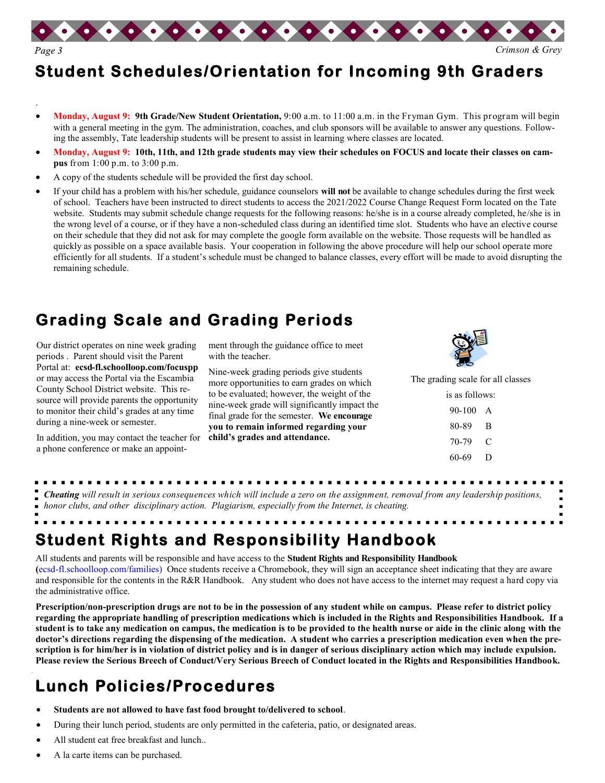

## **Student Schedules/Orientation for Incoming 9th Graders**

- **Monday, August 9: 9th Grade/New Student Orientation,** 9:00 a.m. to 11:00 a.m. in the Fryman Gym. This program will begin with a general meeting in the gym. The administration, coaches, and club sponsors will be available to answer any questions. Following the assembly, Tate leadership students will be present to assist in learning where classes are located.
- **Monday, August 9: 10th, 11th, and 12th grade students may view their schedules on FOCUS and locate their classes on campus** from 1:00 p.m. to 3:00 p.m.
- A copy of the students schedule will be provided the first day school.
- If your child has a problem with his/her schedule, guidance counselors **will not** be available to change schedules during the first week of school. Teachers have been instructed to direct students to access the 2021/2022 Course Change Request Form located on the Tate website. Students may submit schedule change requests for the following reasons: he/she is in a course already completed, he/she is in the wrong level of a course, or if they have a non-scheduled class during an identified time slot. Students who have an elective course on their schedule that they did not ask for may complete the google form available on the website. Those requests will be handled as quickly as possible on a space available basis. Your cooperation in following the above procedure will help our school operate more efficiently for all students. If a student's schedule must be changed to balance classes, every effort will be made to avoid disrupting the remaining schedule.

### **Grading Scale and Grading Periods**

Our district operates on nine week grading periods . Parent should visit the Parent Portal at: **ecsd-fl.schoolloop.com/focuspp**  or may access the Portal via the Escambia County School District website. This resource will provide parents the opportunity to monitor their child's grades at any time during a nine-week or semester.

.

In addition, you may contact the teacher for a phone conference or make an appointment through the guidance office to meet with the teacher.

Nine-week grading periods give students more opportunities to earn grades on which to be evaluated; however, the weight of the nine-week grade will significantly impact the final grade for the semester. **We encourage you to remain informed regarding your child's grades and attendance.**



The grading scale for all classes

| is as follows: |   |
|----------------|---|
| 90-100         | A |
| 80-89          | в |
| 70-79          | € |
| 60-69          | Ð |
|                |   |

*Cheating will result in serious consequences which will include a zero on the assignment, removal from any leadership positions,* 

*honor clubs, and other disciplinary action. Plagiarism, especially from the Internet, is cheating.*

# **Student Rights and Responsibility Handbook**

All students and parents will be responsible and have access to the **Student Rights and Responsibility Handbook (**ecsd-fl.schoolloop.com/families) Once students receive a Chromebook, they will sign an acceptance sheet indicating that they are aware and responsible for the contents in the R&R Handbook. Any student who does not have access to the internet may request a hard copy via the administrative office.

**Prescription/non-prescription drugs are not to be in the possession of any student while on campus. Please refer to district policy regarding the appropriate handling of prescription medications which is included in the Rights and Responsibilities Handbook. If a student is to take any medication on campus, the medication is to be provided to the health nurse or aide in the clinic along with the doctor's directions regarding the dispensing of the medication. A student who carries a prescription medication even when the prescription is for him/her is in violation of district policy and is in danger of serious disciplinary action which may include expulsion. Please review the Serious Breech of Conduct/Very Serious Breech of Conduct located in the Rights and Responsibilities Handbook.**

## **Lunch Policies/Procedures**

- **Students are not allowed to have fast food brought to/delivered to school**.
- During their lunch period, students are only permitted in the cafeteria, patio, or designated areas.
- All student eat free breakfast and lunch..
- A la carte items can be purchased.